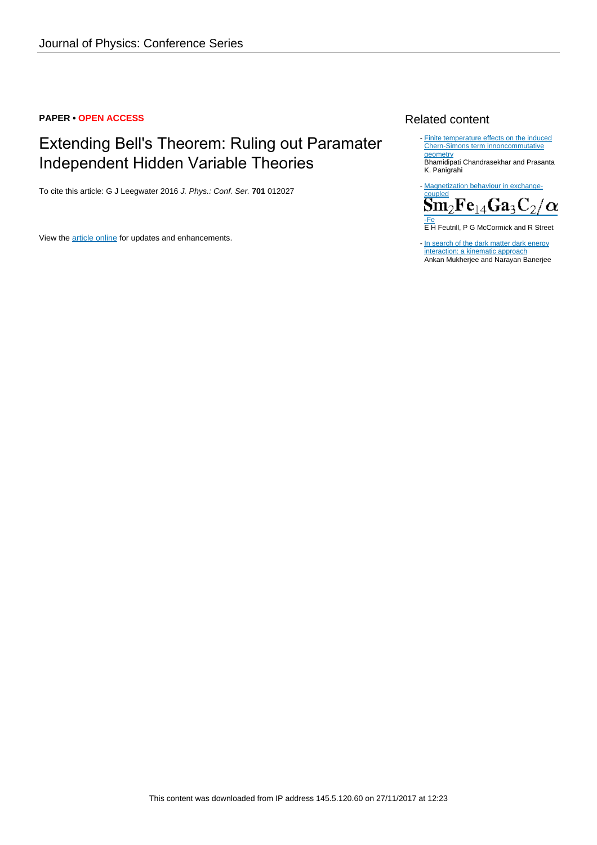# **PAPER • OPEN ACCESS**

# Extending Bell's Theorem: Ruling out Paramater Independent Hidden Variable Theories

To cite this article: G J Leegwater 2016 J. Phys.: Conf. Ser. **701** 012027

View the [article online](https://doi.org/10.1088/1742-6596/701/1/012027) for updates and enhancements.

# Related content

- [Finite temperature effects on the induced](http://iopscience.iop.org/article/10.1088/1126-6708/2003/03/015) [Chern-Simons term innoncommutative](http://iopscience.iop.org/article/10.1088/1126-6708/2003/03/015) **[geometry](http://iopscience.iop.org/article/10.1088/1126-6708/2003/03/015)** Bhamidipati Chandrasekhar and Prasanta K. Panigrahi

- [Magnetization behaviour in exchange-](http://iopscience.iop.org/article/10.1088/0022-3727/29/9/014)



E H Feutrill, P G McCormick and R Street

- [In search of the dark matter dark energy](http://iopscience.iop.org/article/10.1088/1361-6382/aa54c8) [interaction: a kinematic approach](http://iopscience.iop.org/article/10.1088/1361-6382/aa54c8) Ankan Mukherjee and Narayan Banerjee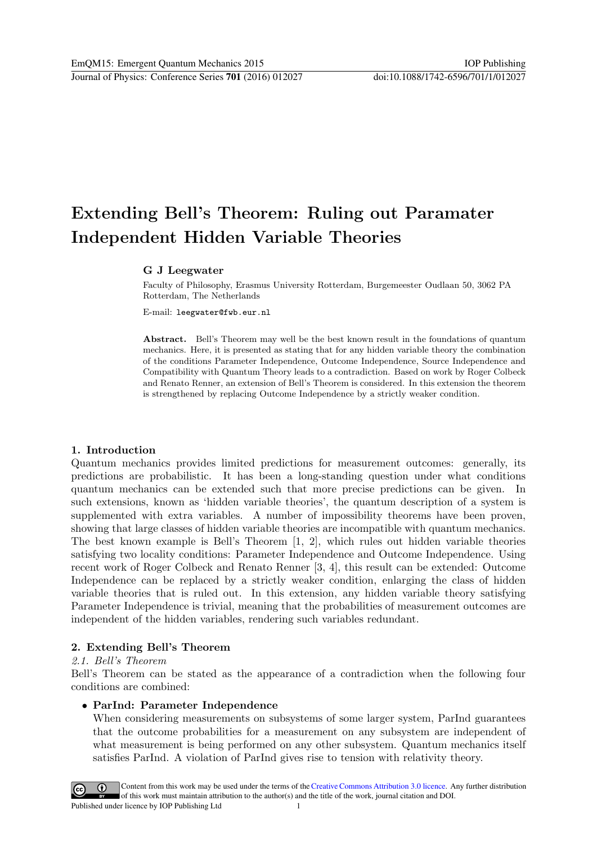# **Extending Bell's Theorem: Ruling out Paramater Independent Hidden Variable Theories**

### **G J Leegwater**

Faculty of Philosophy, Erasmus University Rotterdam, Burgemeester Oudlaan 50, 3062 PA Rotterdam, The Netherlands

E-mail: leegwater@fwb.eur.nl

**Abstract.** Bell's Theorem may well be the best known result in the foundations of quantum mechanics. Here, it is presented as stating that for any hidden variable theory the combination of the conditions Parameter Independence, Outcome Independence, Source Independence and Compatibility with Quantum Theory leads to a contradiction. Based on work by Roger Colbeck and Renato Renner, an extension of Bell's Theorem is considered. In this extension the theorem is strengthened by replacing Outcome Independence by a strictly weaker condition.

### **1. Introduction**

Quantum mechanics provides limited predictions for measurement outcomes: generally, its predictions are probabilistic. It has been a long-standing question under what conditions quantum mechanics can be extended such that more precise predictions can be given. In such extensions, known as 'hidden variable theories', the quantum description of a system is supplemented with extra variables. A number of impossibility theorems have been proven, showing that large classes of hidden variable theories are incompatible with quantum mechanics. The best known example is Bell's Theorem [1, 2], which rules out hidden variable theories satisfying two locality conditions: Parameter Independence and Outcome Independence. Using recent work of Roger Colbeck and Renato Renner [3, 4], this result can be extended: Outcome Independence can be replaced by a strictly weaker condition, enlarging the class of hidden variable theories that is ruled out. In this extension, any hidden variable theory satisfying Parameter Independence is trivial, meaning that the probabilities of measurement outcomes are independent of the hidden variables, rendering such variables redundant.

### **2. Extending Bell's Theorem**

#### *2.1. Bell's Theorem*

Bell's Theorem can be stated as the appearance of a contradiction when the following four conditions are combined:

#### *•* **ParInd: Parameter Independence**

When considering measurements on subsystems of some larger system, ParInd guarantees that the outcome probabilities for a measurement on any subsystem are independent of what measurement is being performed on any other subsystem. Quantum mechanics itself satisfies ParInd. A violation of ParInd gives rise to tension with relativity theory.

Content from this work may be used under the terms of the Creative Commons Attribution 3.0 licence. Any further distribution  $\odot$ of this work must maintain attribution to the author(s) and the title of the work, journal citation and DOI. Published under licence by IOP Publishing Ltd 1